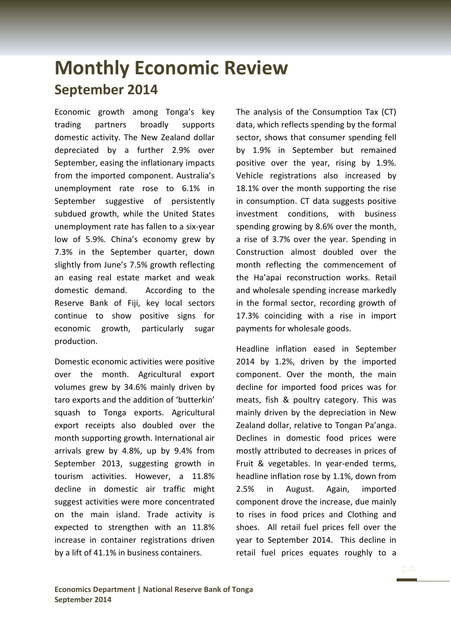## **Monthly Economic Review September 2014**

Economic growth among Tonga's key trading partners broadly supports domestic activity. The New Zealand dollar depreciated by a further 2.9% over September, easing the inflationary impacts from the imported component. Australia's unemployment rate rose to 6.1% in September suggestive of persistently subdued growth, while the United States unemployment rate has fallen to a six-year low of 5.9%. China's economy grew by 7.3% in the September quarter, down slightly from June's 7.5% growth reflecting an easing real estate market and weak domestic demand. According to the Reserve Bank of Fiji, key local sectors continue to show positive signs for economic growth, particularly sugar production.

Domestic economic activities were positive over the month. Agricultural export volumes grew by 34.6% mainly driven by taro exports and the addition of 'butterkin' squash to Tonga exports. Agricultural export receipts also doubled over the month supporting growth. International air arrivals grew by 4.8%, up by 9.4% from September 2013, suggesting growth in tourism activities. However, a 11.8% decline in domestic air traffic might suggest activities were more concentrated on the main island. Trade activity is expected to strengthen with an 11.8% increase in container registrations driven by a lift of 41.1% in business containers.

The analysis of the Consumption Tax (CT) data, which reflects spending by the formal sector, shows that consumer spending fell by 1.9% in September but remained positive over the year, rising by 1.9%. Vehicle registrations also increased by 18.1% over the month supporting the rise in consumption. CT data suggests positive investment conditions, with business spending growing by 8.6% over the month, a rise of 3.7% over the year. Spending in Construction almost doubled over the month reflecting the commencement of the Ha'apai reconstruction works. Retail and wholesale spending increase markedly in the formal sector, recording growth of 17.3% coinciding with a rise in import payments for wholesale goods.

Headline inflation eased in September 2014 by 1.2%, driven by the imported component. Over the month, the main decline for imported food prices was for meats, fish & poultry category. This was mainly driven by the depreciation in New Zealand dollar, relative to Tongan Pa'anga. Declines in domestic food prices were mostly attributed to decreases in prices of Fruit & vegetables. In year-ended terms, headline inflation rose by 1.1%, down from 2.5% in August. Again, imported component drove the increase, due mainly to rises in food prices and Clothing and shoes. All retail fuel prices fell over the year to September 2014. This decline in retail fuel prices equates roughly to a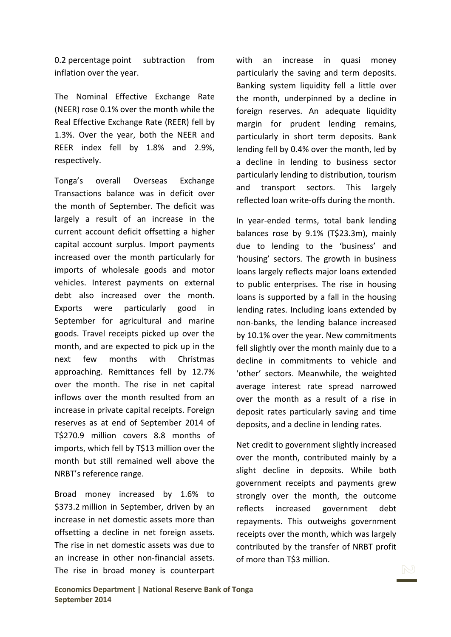0.2 percentage point subtraction from inflation over the year.

The Nominal Effective Exchange Rate (NEER) rose 0.1% over the month while the Real Effective Exchange Rate (REER) fell by 1.3%. Over the year, both the NEER and REER index fell by 1.8% and 2.9%, respectively.

Tonga's overall Overseas Exchange Transactions balance was in deficit over the month of September. The deficit was largely a result of an increase in the current account deficit offsetting a higher capital account surplus. Import payments increased over the month particularly for imports of wholesale goods and motor vehicles. Interest payments on external debt also increased over the month. Exports were particularly good in September for agricultural and marine goods. Travel receipts picked up over the month, and are expected to pick up in the next few months with Christmas approaching. Remittances fell by 12.7% over the month. The rise in net capital inflows over the month resulted from an increase in private capital receipts. Foreign reserves as at end of September 2014 of T\$270.9 million covers 8.8 months of imports, which fell by T\$13 million over the month but still remained well above the NRBT's reference range.

Broad money increased by 1.6% to \$373.2 million in September, driven by an increase in net domestic assets more than offsetting a decline in net foreign assets. The rise in net domestic assets was due to an increase in other non-financial assets. The rise in broad money is counterpart with an increase in quasi money particularly the saving and term deposits. Banking system liquidity fell a little over the month, underpinned by a decline in foreign reserves. An adequate liquidity margin for prudent lending remains, particularly in short term deposits. Bank lending fell by 0.4% over the month, led by a decline in lending to business sector particularly lending to distribution, tourism and transport sectors. This largely reflected loan write-offs during the month.

In year-ended terms, total bank lending balances rose by 9.1% (T\$23.3m), mainly due to lending to the 'business' and 'housing' sectors. The growth in business loans largely reflects major loans extended to public enterprises. The rise in housing loans is supported by a fall in the housing lending rates. Including loans extended by non-banks, the lending balance increased by 10.1% over the year. New commitments fell slightly over the month mainly due to a decline in commitments to vehicle and 'other' sectors. Meanwhile, the weighted average interest rate spread narrowed over the month as a result of a rise in deposit rates particularly saving and time deposits, and a decline in lending rates.

Net credit to government slightly increased over the month, contributed mainly by a slight decline in deposits. While both government receipts and payments grew strongly over the month, the outcome reflects increased government debt repayments. This outweighs government receipts over the month, which was largely contributed by the transfer of NRBT profit of more than T\$3 million.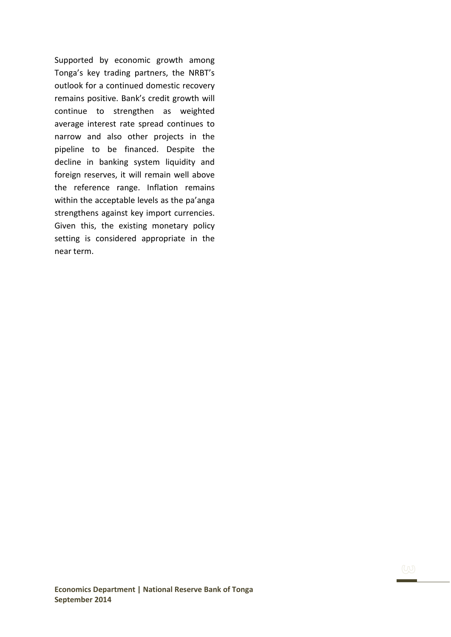Supported by economic growth among Tonga's key trading partners, the NRBT's outlook for a continued domestic recovery remains positive. Bank's credit growth will continue to strengthen as weighted average interest rate spread continues to narrow and also other projects in the pipeline to be financed. Despite the decline in banking system liquidity and foreign reserves, it will remain well above the reference range. Inflation remains within the acceptable levels as the pa'anga strengthens against key import currencies. Given this, the existing monetary policy setting is considered appropriate in the near term.